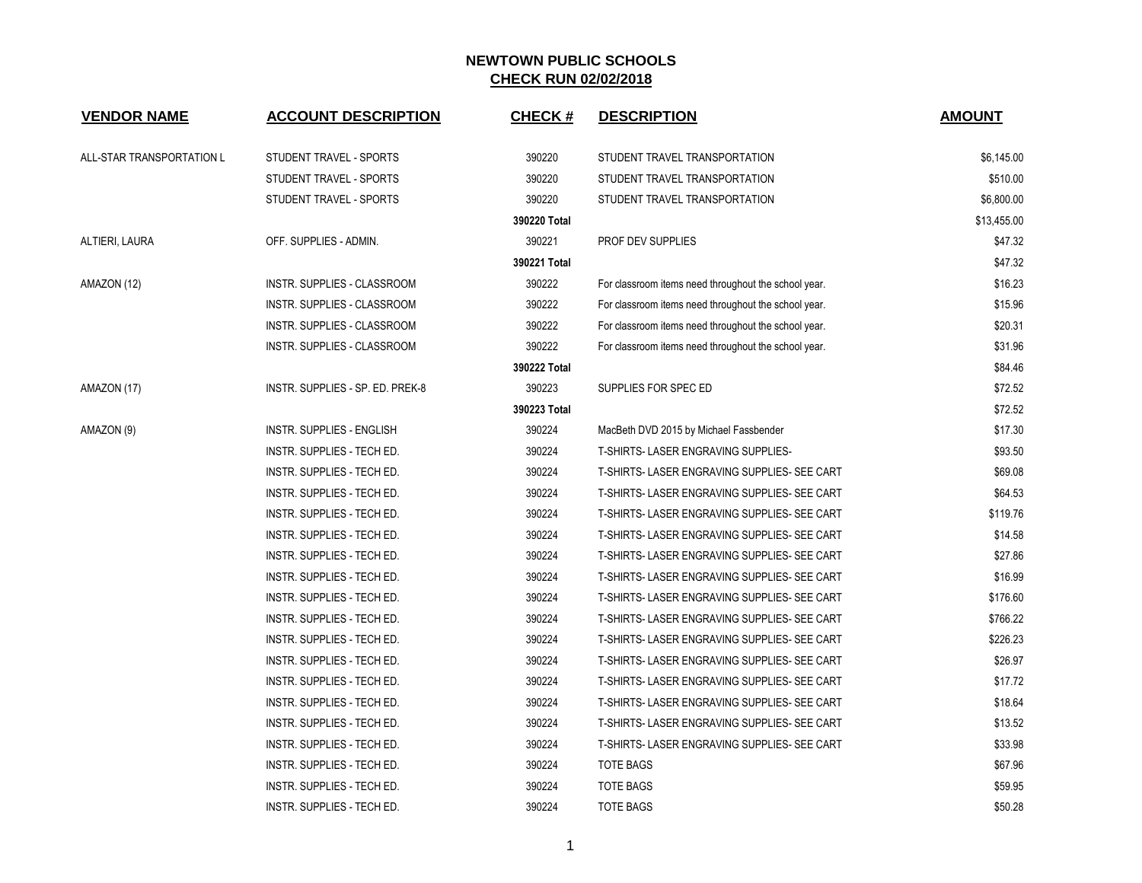| <b>VENDOR NAME</b>        | <b>ACCOUNT DESCRIPTION</b>        | <b>CHECK#</b> | <b>DESCRIPTION</b>                                   | <b>AMOUNT</b> |
|---------------------------|-----------------------------------|---------------|------------------------------------------------------|---------------|
| ALL-STAR TRANSPORTATION L | STUDENT TRAVEL - SPORTS           | 390220        | STUDENT TRAVEL TRANSPORTATION                        | \$6,145.00    |
|                           | STUDENT TRAVEL - SPORTS           | 390220        | STUDENT TRAVEL TRANSPORTATION                        | \$510.00      |
|                           | STUDENT TRAVEL - SPORTS           | 390220        | STUDENT TRAVEL TRANSPORTATION                        | \$6,800.00    |
|                           |                                   | 390220 Total  |                                                      | \$13,455.00   |
| ALTIERI, LAURA            | OFF. SUPPLIES - ADMIN.            | 390221        | PROF DEV SUPPLIES                                    | \$47.32       |
|                           |                                   | 390221 Total  |                                                      | \$47.32       |
| AMAZON (12)               | INSTR. SUPPLIES - CLASSROOM       | 390222        | For classroom items need throughout the school year. | \$16.23       |
|                           | INSTR. SUPPLIES - CLASSROOM       | 390222        | For classroom items need throughout the school year. | \$15.96       |
|                           | INSTR. SUPPLIES - CLASSROOM       | 390222        | For classroom items need throughout the school year. | \$20.31       |
|                           | INSTR. SUPPLIES - CLASSROOM       | 390222        | For classroom items need throughout the school year. | \$31.96       |
|                           |                                   | 390222 Total  |                                                      | \$84.46       |
| AMAZON (17)               | INSTR. SUPPLIES - SP. ED. PREK-8  | 390223        | SUPPLIES FOR SPEC ED                                 | \$72.52       |
|                           |                                   | 390223 Total  |                                                      | \$72.52       |
| AMAZON (9)                | INSTR. SUPPLIES - ENGLISH         | 390224        | MacBeth DVD 2015 by Michael Fassbender               | \$17.30       |
|                           | INSTR. SUPPLIES - TECH ED.        | 390224        | T-SHIRTS- LASER ENGRAVING SUPPLIES-                  | \$93.50       |
|                           | INSTR. SUPPLIES - TECH ED.        | 390224        | T-SHIRTS- LASER ENGRAVING SUPPLIES- SEE CART         | \$69.08       |
|                           | INSTR. SUPPLIES - TECH ED.        | 390224        | T-SHIRTS- LASER ENGRAVING SUPPLIES- SEE CART         | \$64.53       |
|                           | INSTR. SUPPLIES - TECH ED.        | 390224        | T-SHIRTS- LASER ENGRAVING SUPPLIES- SEE CART         | \$119.76      |
|                           | INSTR. SUPPLIES - TECH ED.        | 390224        | T-SHIRTS- LASER ENGRAVING SUPPLIES- SEE CART         | \$14.58       |
|                           | INSTR. SUPPLIES - TECH ED.        | 390224        | T-SHIRTS- LASER ENGRAVING SUPPLIES- SEE CART         | \$27.86       |
|                           | INSTR. SUPPLIES - TECH ED.        | 390224        | T-SHIRTS- LASER ENGRAVING SUPPLIES- SEE CART         | \$16.99       |
|                           | INSTR. SUPPLIES - TECH ED.        | 390224        | T-SHIRTS- LASER ENGRAVING SUPPLIES- SEE CART         | \$176.60      |
|                           | INSTR. SUPPLIES - TECH ED.        | 390224        | T-SHIRTS- LASER ENGRAVING SUPPLIES- SEE CART         | \$766.22      |
|                           | INSTR. SUPPLIES - TECH ED.        | 390224        | T-SHIRTS- LASER ENGRAVING SUPPLIES- SEE CART         | \$226.23      |
|                           | INSTR. SUPPLIES - TECH ED.        | 390224        | T-SHIRTS- LASER ENGRAVING SUPPLIES- SEE CART         | \$26.97       |
|                           | <b>INSTR. SUPPLIES - TECH ED.</b> | 390224        | T-SHIRTS- LASER ENGRAVING SUPPLIES- SEE CART         | \$17.72       |
|                           | INSTR. SUPPLIES - TECH ED.        | 390224        | T-SHIRTS- LASER ENGRAVING SUPPLIES- SEE CART         | \$18.64       |
|                           | INSTR. SUPPLIES - TECH ED.        | 390224        | T-SHIRTS- LASER ENGRAVING SUPPLIES- SEE CART         | \$13.52       |
|                           | INSTR. SUPPLIES - TECH ED.        | 390224        | T-SHIRTS- LASER ENGRAVING SUPPLIES- SEE CART         | \$33.98       |
|                           | INSTR. SUPPLIES - TECH ED.        | 390224        | <b>TOTE BAGS</b>                                     | \$67.96       |
|                           | INSTR. SUPPLIES - TECH ED.        | 390224        | <b>TOTE BAGS</b>                                     | \$59.95       |
|                           | INSTR. SUPPLIES - TECH ED.        | 390224        | <b>TOTE BAGS</b>                                     | \$50.28       |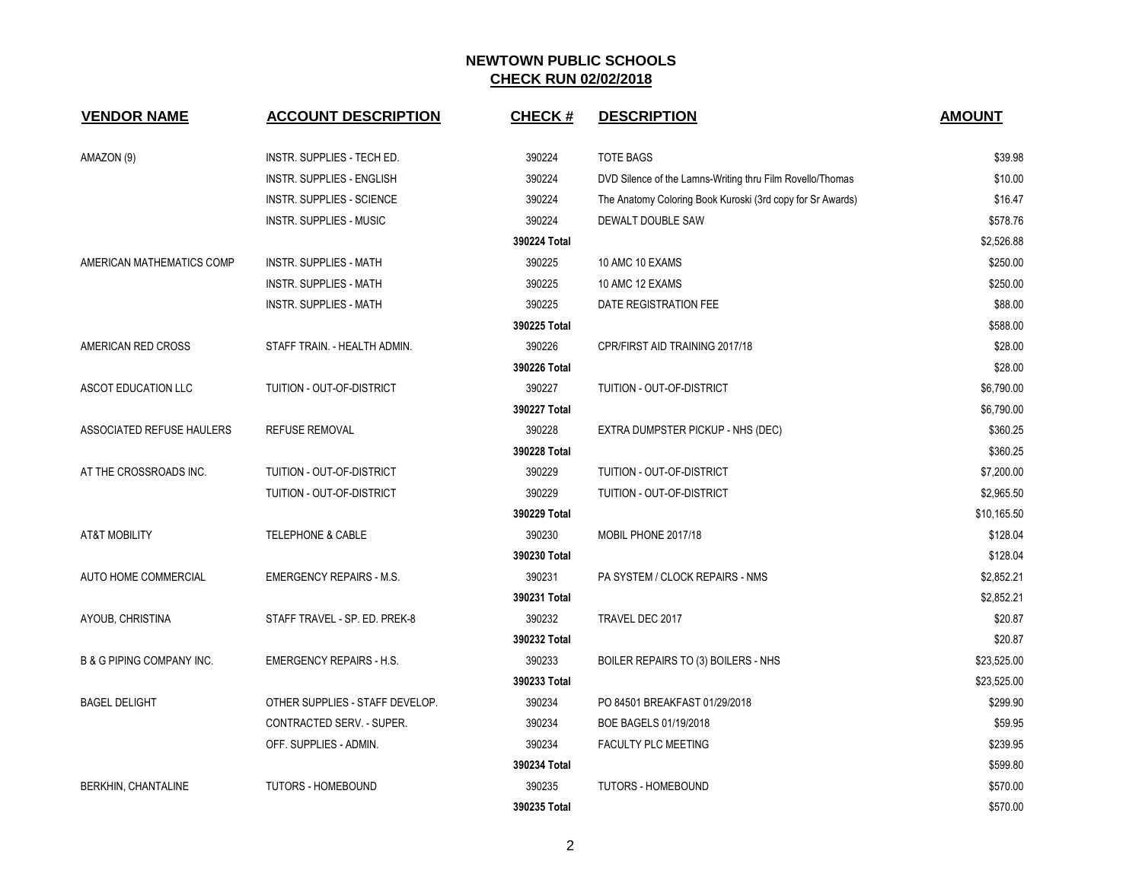| <b>VENDOR NAME</b>                   | <b>ACCOUNT DESCRIPTION</b>       | <b>CHECK#</b> | <b>DESCRIPTION</b>                                         | <b>AMOUNT</b> |
|--------------------------------------|----------------------------------|---------------|------------------------------------------------------------|---------------|
| AMAZON (9)                           | INSTR. SUPPLIES - TECH ED.       | 390224        | <b>TOTE BAGS</b>                                           | \$39.98       |
|                                      | <b>INSTR. SUPPLIES - ENGLISH</b> | 390224        | DVD Silence of the Lamns-Writing thru Film Rovello/Thomas  | \$10.00       |
|                                      | <b>INSTR. SUPPLIES - SCIENCE</b> | 390224        | The Anatomy Coloring Book Kuroski (3rd copy for Sr Awards) | \$16.47       |
|                                      | <b>INSTR. SUPPLIES - MUSIC</b>   | 390224        | DEWALT DOUBLE SAW                                          | \$578.76      |
|                                      |                                  | 390224 Total  |                                                            | \$2,526.88    |
| AMERICAN MATHEMATICS COMP            | <b>INSTR. SUPPLIES - MATH</b>    | 390225        | 10 AMC 10 EXAMS                                            | \$250.00      |
|                                      | INSTR. SUPPLIES - MATH           | 390225        | 10 AMC 12 EXAMS                                            | \$250.00      |
|                                      | <b>INSTR. SUPPLIES - MATH</b>    | 390225        | DATE REGISTRATION FEE                                      | \$88.00       |
|                                      |                                  | 390225 Total  |                                                            | \$588.00      |
| AMERICAN RED CROSS                   | STAFF TRAIN. - HEALTH ADMIN.     | 390226        | CPR/FIRST AID TRAINING 2017/18                             | \$28.00       |
|                                      |                                  | 390226 Total  |                                                            | \$28.00       |
| ASCOT EDUCATION LLC                  | TUITION - OUT-OF-DISTRICT        | 390227        | TUITION - OUT-OF-DISTRICT                                  | \$6,790.00    |
|                                      |                                  | 390227 Total  |                                                            | \$6,790.00    |
| ASSOCIATED REFUSE HAULERS            | REFUSE REMOVAL                   | 390228        | EXTRA DUMPSTER PICKUP - NHS (DEC)                          | \$360.25      |
|                                      |                                  | 390228 Total  |                                                            | \$360.25      |
| AT THE CROSSROADS INC.               | TUITION - OUT-OF-DISTRICT        | 390229        | TUITION - OUT-OF-DISTRICT                                  | \$7,200.00    |
|                                      | TUITION - OUT-OF-DISTRICT        | 390229        | TUITION - OUT-OF-DISTRICT                                  | \$2,965.50    |
|                                      |                                  | 390229 Total  |                                                            | \$10,165.50   |
| <b>AT&amp;T MOBILITY</b>             | <b>TELEPHONE &amp; CABLE</b>     | 390230        | MOBIL PHONE 2017/18                                        | \$128.04      |
|                                      |                                  | 390230 Total  |                                                            | \$128.04      |
| AUTO HOME COMMERCIAL                 | <b>EMERGENCY REPAIRS - M.S.</b>  | 390231        | PA SYSTEM / CLOCK REPAIRS - NMS                            | \$2,852.21    |
|                                      |                                  | 390231 Total  |                                                            | \$2,852.21    |
| AYOUB, CHRISTINA                     | STAFF TRAVEL - SP. ED. PREK-8    | 390232        | TRAVEL DEC 2017                                            | \$20.87       |
|                                      |                                  | 390232 Total  |                                                            | \$20.87       |
| <b>B &amp; G PIPING COMPANY INC.</b> | <b>EMERGENCY REPAIRS - H.S.</b>  | 390233        | BOILER REPAIRS TO (3) BOILERS - NHS                        | \$23,525.00   |
|                                      |                                  | 390233 Total  |                                                            | \$23,525.00   |
| <b>BAGEL DELIGHT</b>                 | OTHER SUPPLIES - STAFF DEVELOP.  | 390234        | PO 84501 BREAKFAST 01/29/2018                              | \$299.90      |
|                                      | CONTRACTED SERV. - SUPER.        | 390234        | BOE BAGELS 01/19/2018                                      | \$59.95       |
|                                      | OFF. SUPPLIES - ADMIN.           | 390234        | <b>FACULTY PLC MEETING</b>                                 | \$239.95      |
|                                      |                                  | 390234 Total  |                                                            | \$599.80      |
| BERKHIN, CHANTALINE                  | <b>TUTORS - HOMEBOUND</b>        | 390235        | <b>TUTORS - HOMEBOUND</b>                                  | \$570.00      |
|                                      |                                  | 390235 Total  |                                                            | \$570.00      |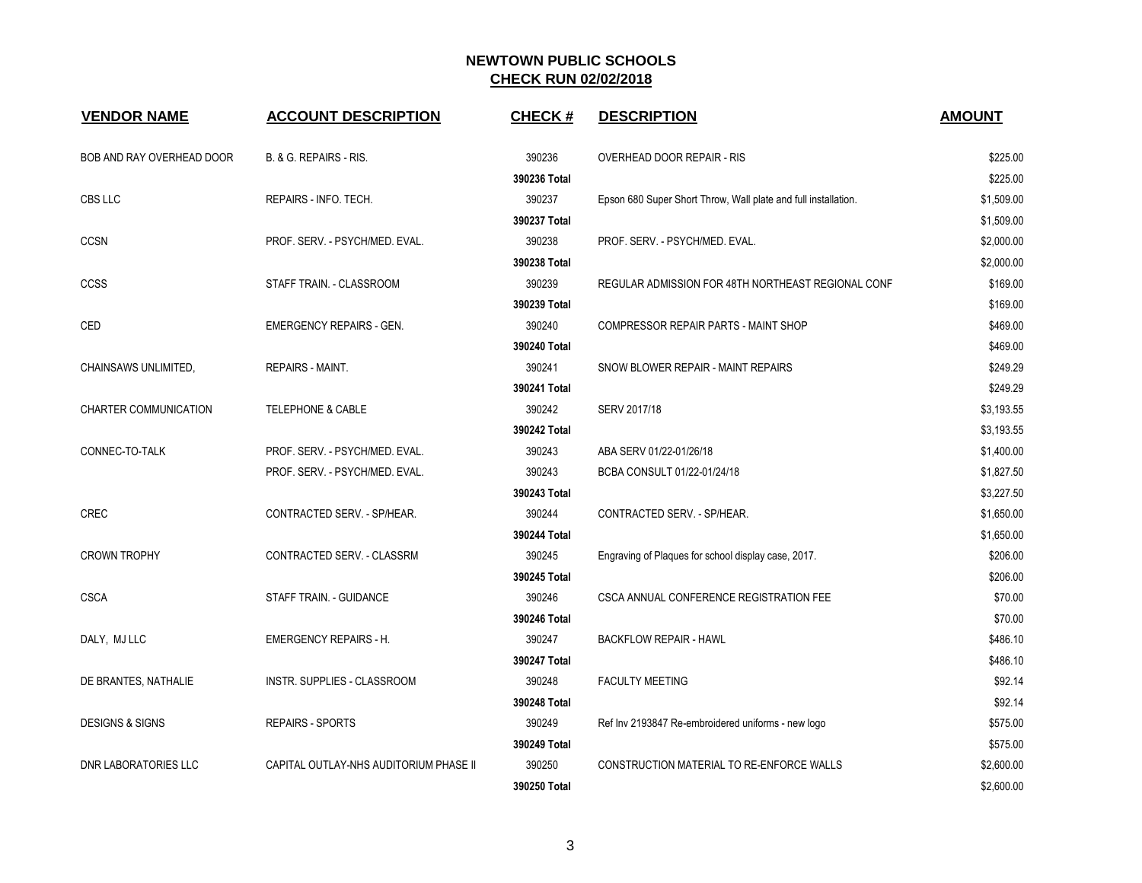| <b>VENDOR NAME</b>         | <b>ACCOUNT DESCRIPTION</b>             | <b>CHECK#</b> | <b>DESCRIPTION</b>                                             | <b>AMOUNT</b> |
|----------------------------|----------------------------------------|---------------|----------------------------------------------------------------|---------------|
| BOB AND RAY OVERHEAD DOOR  | B. & G. REPAIRS - RIS.                 | 390236        | OVERHEAD DOOR REPAIR - RIS                                     | \$225.00      |
|                            |                                        | 390236 Total  |                                                                | \$225.00      |
| CBS LLC                    | REPAIRS - INFO. TECH.                  | 390237        | Epson 680 Super Short Throw, Wall plate and full installation. | \$1,509.00    |
|                            |                                        | 390237 Total  |                                                                | \$1,509.00    |
| <b>CCSN</b>                | PROF. SERV. - PSYCH/MED. EVAL.         | 390238        | PROF. SERV. - PSYCH/MED. EVAL.                                 | \$2,000.00    |
|                            |                                        | 390238 Total  |                                                                | \$2,000.00    |
| <b>CCSS</b>                | STAFF TRAIN. - CLASSROOM               | 390239        | REGULAR ADMISSION FOR 48TH NORTHEAST REGIONAL CONF             | \$169.00      |
|                            |                                        | 390239 Total  |                                                                | \$169.00      |
| CED                        | <b>EMERGENCY REPAIRS - GEN.</b>        | 390240        | <b>COMPRESSOR REPAIR PARTS - MAINT SHOP</b>                    | \$469.00      |
|                            |                                        | 390240 Total  |                                                                | \$469.00      |
| CHAINSAWS UNLIMITED,       | REPAIRS - MAINT.                       | 390241        | SNOW BLOWER REPAIR - MAINT REPAIRS                             | \$249.29      |
|                            |                                        | 390241 Total  |                                                                | \$249.29      |
| CHARTER COMMUNICATION      | <b>TELEPHONE &amp; CABLE</b>           | 390242        | SERV 2017/18                                                   | \$3,193.55    |
|                            |                                        | 390242 Total  |                                                                | \$3,193.55    |
| CONNEC-TO-TALK             | PROF. SERV. - PSYCH/MED. EVAL.         | 390243        | ABA SERV 01/22-01/26/18                                        | \$1,400.00    |
|                            | PROF. SERV. - PSYCH/MED. EVAL.         | 390243        | BCBA CONSULT 01/22-01/24/18                                    | \$1,827.50    |
|                            |                                        | 390243 Total  |                                                                | \$3,227.50    |
| <b>CREC</b>                | CONTRACTED SERV. - SP/HEAR.            | 390244        | CONTRACTED SERV. - SP/HEAR.                                    | \$1,650.00    |
|                            |                                        | 390244 Total  |                                                                | \$1,650.00    |
| <b>CROWN TROPHY</b>        | CONTRACTED SERV. - CLASSRM             | 390245        | Engraving of Plaques for school display case, 2017.            | \$206.00      |
|                            |                                        | 390245 Total  |                                                                | \$206.00      |
| <b>CSCA</b>                | STAFF TRAIN. - GUIDANCE                | 390246        | CSCA ANNUAL CONFERENCE REGISTRATION FEE                        | \$70.00       |
|                            |                                        | 390246 Total  |                                                                | \$70.00       |
| DALY, MJ LLC               | <b>EMERGENCY REPAIRS - H.</b>          | 390247        | <b>BACKFLOW REPAIR - HAWL</b>                                  | \$486.10      |
|                            |                                        | 390247 Total  |                                                                | \$486.10      |
| DE BRANTES, NATHALIE       | INSTR. SUPPLIES - CLASSROOM            | 390248        | <b>FACULTY MEETING</b>                                         | \$92.14       |
|                            |                                        | 390248 Total  |                                                                | \$92.14       |
| <b>DESIGNS &amp; SIGNS</b> | <b>REPAIRS - SPORTS</b>                | 390249        | Ref Inv 2193847 Re-embroidered uniforms - new logo             | \$575.00      |
|                            |                                        | 390249 Total  |                                                                | \$575.00      |
| DNR LABORATORIES LLC       | CAPITAL OUTLAY-NHS AUDITORIUM PHASE II | 390250        | CONSTRUCTION MATERIAL TO RE-ENFORCE WALLS                      | \$2,600.00    |
|                            |                                        | 390250 Total  |                                                                | \$2,600.00    |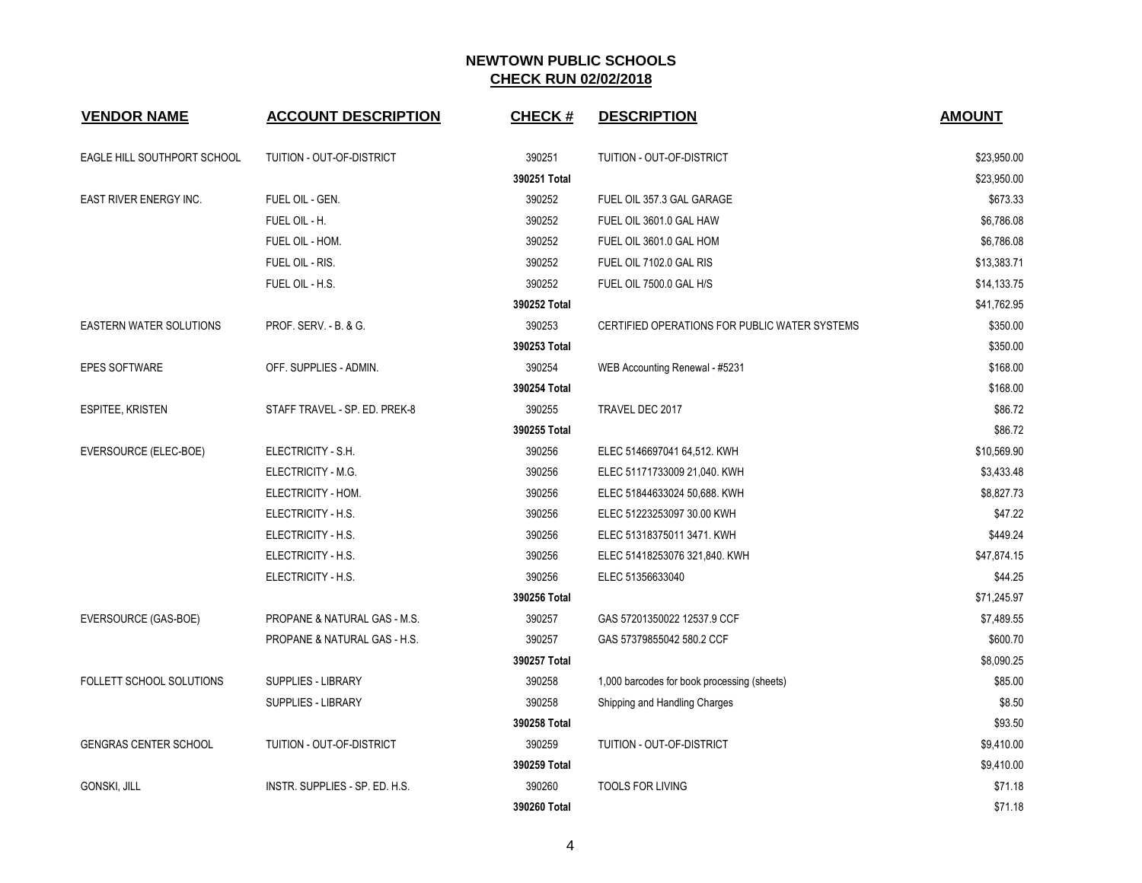| <b>VENDOR NAME</b>           | <b>ACCOUNT DESCRIPTION</b>     | <b>CHECK#</b> | <b>DESCRIPTION</b>                            | <b>AMOUNT</b> |
|------------------------------|--------------------------------|---------------|-----------------------------------------------|---------------|
| EAGLE HILL SOUTHPORT SCHOOL  | TUITION - OUT-OF-DISTRICT      | 390251        | TUITION - OUT-OF-DISTRICT                     | \$23,950.00   |
|                              |                                | 390251 Total  |                                               | \$23,950.00   |
| EAST RIVER ENERGY INC.       | FUEL OIL - GEN.                | 390252        | FUEL OIL 357.3 GAL GARAGE                     | \$673.33      |
|                              | FUEL OIL - H.                  | 390252        | FUEL OIL 3601.0 GAL HAW                       | \$6,786.08    |
|                              | FUEL OIL - HOM.                | 390252        | FUEL OIL 3601.0 GAL HOM                       | \$6,786.08    |
|                              | FUEL OIL - RIS.                | 390252        | FUEL OIL 7102.0 GAL RIS                       | \$13,383.71   |
|                              | FUEL OIL - H.S.                | 390252        | FUEL OIL 7500.0 GAL H/S                       | \$14,133.75   |
|                              |                                | 390252 Total  |                                               | \$41,762.95   |
| EASTERN WATER SOLUTIONS      | PROF. SERV. - B. & G.          | 390253        | CERTIFIED OPERATIONS FOR PUBLIC WATER SYSTEMS | \$350.00      |
|                              |                                | 390253 Total  |                                               | \$350.00      |
| <b>EPES SOFTWARE</b>         | OFF. SUPPLIES - ADMIN.         | 390254        | WEB Accounting Renewal - #5231                | \$168.00      |
|                              |                                | 390254 Total  |                                               | \$168.00      |
| <b>ESPITEE, KRISTEN</b>      | STAFF TRAVEL - SP. ED. PREK-8  | 390255        | TRAVEL DEC 2017                               | \$86.72       |
|                              |                                | 390255 Total  |                                               | \$86.72       |
| EVERSOURCE (ELEC-BOE)        | ELECTRICITY - S.H.             | 390256        | ELEC 5146697041 64,512. KWH                   | \$10,569.90   |
|                              | ELECTRICITY - M.G.             | 390256        | ELEC 51171733009 21,040. KWH                  | \$3,433.48    |
|                              | ELECTRICITY - HOM.             | 390256        | ELEC 51844633024 50,688. KWH                  | \$8,827.73    |
|                              | ELECTRICITY - H.S.             | 390256        | ELEC 51223253097 30.00 KWH                    | \$47.22       |
|                              | ELECTRICITY - H.S.             | 390256        | ELEC 51318375011 3471. KWH                    | \$449.24      |
|                              | ELECTRICITY - H.S.             | 390256        | ELEC 51418253076 321,840. KWH                 | \$47,874.15   |
|                              | ELECTRICITY - H.S.             | 390256        | ELEC 51356633040                              | \$44.25       |
|                              |                                | 390256 Total  |                                               | \$71,245.97   |
| EVERSOURCE (GAS-BOE)         | PROPANE & NATURAL GAS - M.S.   | 390257        | GAS 57201350022 12537.9 CCF                   | \$7,489.55    |
|                              | PROPANE & NATURAL GAS - H.S.   | 390257        | GAS 57379855042 580.2 CCF                     | \$600.70      |
|                              |                                | 390257 Total  |                                               | \$8,090.25    |
| FOLLETT SCHOOL SOLUTIONS     | <b>SUPPLIES - LIBRARY</b>      | 390258        | 1,000 barcodes for book processing (sheets)   | \$85.00       |
|                              | <b>SUPPLIES - LIBRARY</b>      | 390258        | Shipping and Handling Charges                 | \$8.50        |
|                              |                                | 390258 Total  |                                               | \$93.50       |
| <b>GENGRAS CENTER SCHOOL</b> | TUITION - OUT-OF-DISTRICT      | 390259        | TUITION - OUT-OF-DISTRICT                     | \$9,410.00    |
|                              |                                | 390259 Total  |                                               | \$9,410.00    |
| GONSKI, JILL                 | INSTR. SUPPLIES - SP. ED. H.S. | 390260        | <b>TOOLS FOR LIVING</b>                       | \$71.18       |
|                              |                                | 390260 Total  |                                               | \$71.18       |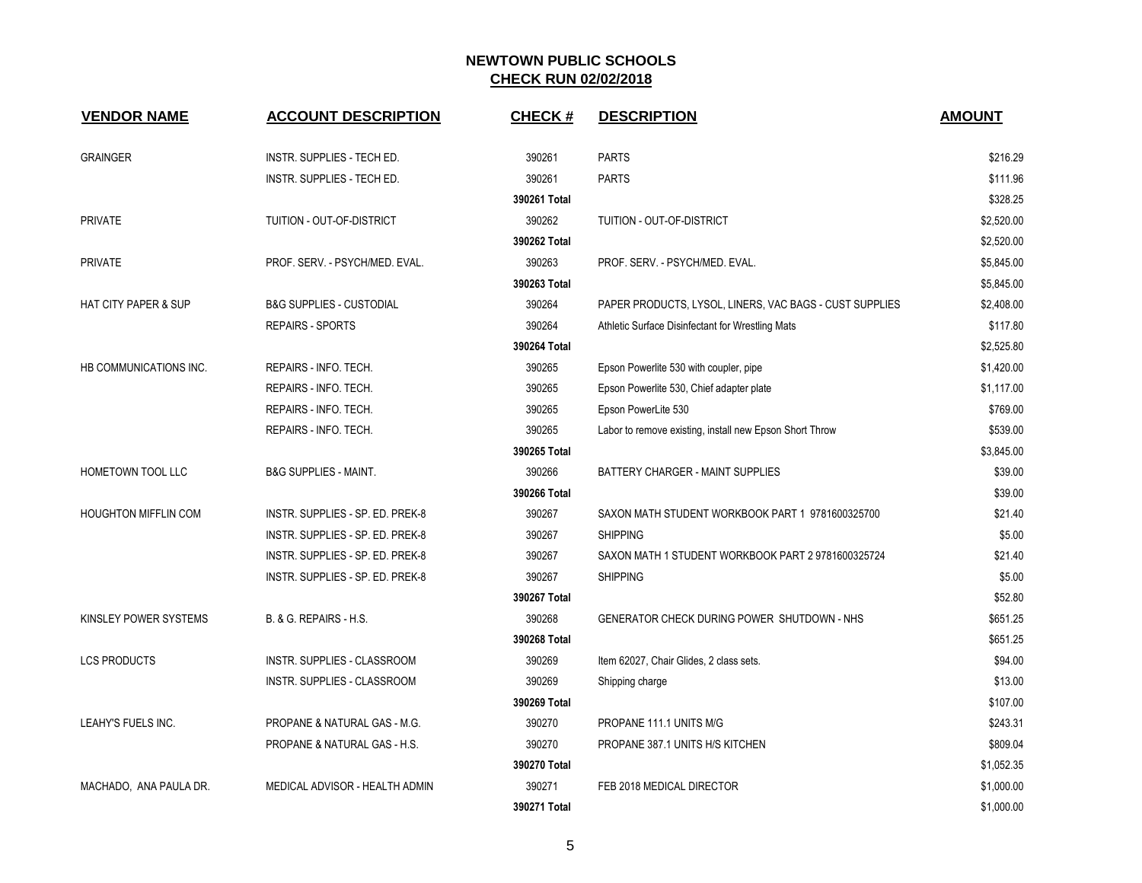| <b>VENDOR NAME</b>              | <b>ACCOUNT DESCRIPTION</b>          | <b>CHECK#</b> | <b>DESCRIPTION</b>                                      | <b>AMOUNT</b> |
|---------------------------------|-------------------------------------|---------------|---------------------------------------------------------|---------------|
| <b>GRAINGER</b>                 | INSTR. SUPPLIES - TECH ED.          | 390261        | <b>PARTS</b>                                            | \$216.29      |
|                                 | INSTR. SUPPLIES - TECH ED.          | 390261        | <b>PARTS</b>                                            | \$111.96      |
|                                 |                                     | 390261 Total  |                                                         | \$328.25      |
| <b>PRIVATE</b>                  | TUITION - OUT-OF-DISTRICT           | 390262        | TUITION - OUT-OF-DISTRICT                               | \$2,520.00    |
|                                 |                                     | 390262 Total  |                                                         | \$2,520.00    |
| <b>PRIVATE</b>                  | PROF. SERV. - PSYCH/MED. EVAL.      | 390263        | PROF. SERV. - PSYCH/MED. EVAL.                          | \$5,845.00    |
|                                 |                                     | 390263 Total  |                                                         | \$5,845.00    |
| <b>HAT CITY PAPER &amp; SUP</b> | <b>B&amp;G SUPPLIES - CUSTODIAL</b> | 390264        | PAPER PRODUCTS, LYSOL, LINERS, VAC BAGS - CUST SUPPLIES | \$2,408.00    |
|                                 | <b>REPAIRS - SPORTS</b>             | 390264        | Athletic Surface Disinfectant for Wrestling Mats        | \$117.80      |
|                                 |                                     | 390264 Total  |                                                         | \$2,525.80    |
| HB COMMUNICATIONS INC.          | REPAIRS - INFO. TECH.               | 390265        | Epson Powerlite 530 with coupler, pipe                  | \$1,420.00    |
|                                 | REPAIRS - INFO. TECH.               | 390265        | Epson Powerlite 530, Chief adapter plate                | \$1,117.00    |
|                                 | REPAIRS - INFO. TECH.               | 390265        | Epson PowerLite 530                                     | \$769.00      |
|                                 | REPAIRS - INFO. TECH.               | 390265        | Labor to remove existing, install new Epson Short Throw | \$539.00      |
|                                 |                                     | 390265 Total  |                                                         | \$3,845.00    |
| <b>HOMETOWN TOOL LLC</b>        | <b>B&amp;G SUPPLIES - MAINT.</b>    | 390266        | <b>BATTERY CHARGER - MAINT SUPPLIES</b>                 | \$39.00       |
|                                 |                                     | 390266 Total  |                                                         | \$39.00       |
| <b>HOUGHTON MIFFLIN COM</b>     | INSTR. SUPPLIES - SP. ED. PREK-8    | 390267        | SAXON MATH STUDENT WORKBOOK PART 1 9781600325700        | \$21.40       |
|                                 | INSTR. SUPPLIES - SP. ED. PREK-8    | 390267        | <b>SHIPPING</b>                                         | \$5.00        |
|                                 | INSTR. SUPPLIES - SP. ED. PREK-8    | 390267        | SAXON MATH 1 STUDENT WORKBOOK PART 2 9781600325724      | \$21.40       |
|                                 | INSTR. SUPPLIES - SP. ED. PREK-8    | 390267        | <b>SHIPPING</b>                                         | \$5.00        |
|                                 |                                     | 390267 Total  |                                                         | \$52.80       |
| KINSLEY POWER SYSTEMS           | B. & G. REPAIRS - H.S.              | 390268        | GENERATOR CHECK DURING POWER SHUTDOWN - NHS             | \$651.25      |
|                                 |                                     | 390268 Total  |                                                         | \$651.25      |
| <b>LCS PRODUCTS</b>             | INSTR. SUPPLIES - CLASSROOM         | 390269        | Item 62027, Chair Glides, 2 class sets.                 | \$94.00       |
|                                 | INSTR. SUPPLIES - CLASSROOM         | 390269        | Shipping charge                                         | \$13.00       |
|                                 |                                     | 390269 Total  |                                                         | \$107.00      |
| LEAHY'S FUELS INC.              | PROPANE & NATURAL GAS - M.G.        | 390270        | PROPANE 111.1 UNITS M/G                                 | \$243.31      |
|                                 | PROPANE & NATURAL GAS - H.S.        | 390270        | PROPANE 387.1 UNITS H/S KITCHEN                         | \$809.04      |
|                                 |                                     | 390270 Total  |                                                         | \$1,052.35    |
| MACHADO, ANA PAULA DR.          | MEDICAL ADVISOR - HEALTH ADMIN      | 390271        | FEB 2018 MEDICAL DIRECTOR                               | \$1,000.00    |
|                                 |                                     | 390271 Total  |                                                         | \$1,000.00    |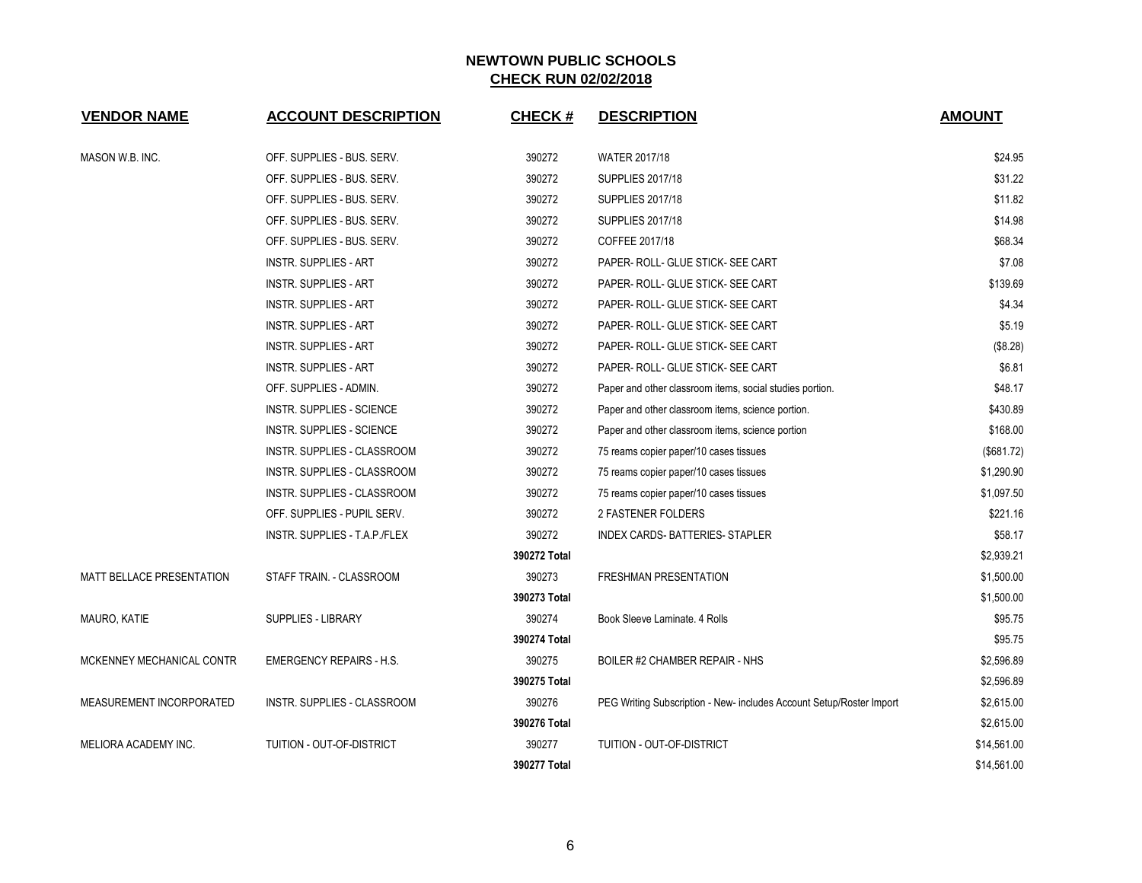| <b>VENDOR NAME</b>               | <b>ACCOUNT DESCRIPTION</b>      | <b>CHECK#</b> | <b>DESCRIPTION</b>                                                   | <b>AMOUNT</b> |
|----------------------------------|---------------------------------|---------------|----------------------------------------------------------------------|---------------|
| MASON W.B. INC.                  | OFF. SUPPLIES - BUS. SERV.      | 390272        | <b>WATER 2017/18</b>                                                 | \$24.95       |
|                                  | OFF. SUPPLIES - BUS. SERV.      | 390272        | <b>SUPPLIES 2017/18</b>                                              | \$31.22       |
|                                  | OFF. SUPPLIES - BUS. SERV.      | 390272        | <b>SUPPLIES 2017/18</b>                                              | \$11.82       |
|                                  | OFF. SUPPLIES - BUS. SERV.      | 390272        | <b>SUPPLIES 2017/18</b>                                              | \$14.98       |
|                                  | OFF. SUPPLIES - BUS. SERV.      | 390272        | COFFEE 2017/18                                                       | \$68.34       |
|                                  | <b>INSTR. SUPPLIES - ART</b>    | 390272        | PAPER- ROLL- GLUE STICK- SEE CART                                    | \$7.08        |
|                                  | INSTR. SUPPLIES - ART           | 390272        | PAPER- ROLL- GLUE STICK- SEE CART                                    | \$139.69      |
|                                  | <b>INSTR. SUPPLIES - ART</b>    | 390272        | PAPER- ROLL- GLUE STICK- SEE CART                                    | \$4.34        |
|                                  | <b>INSTR. SUPPLIES - ART</b>    | 390272        | PAPER- ROLL- GLUE STICK- SEE CART                                    | \$5.19        |
|                                  | <b>INSTR. SUPPLIES - ART</b>    | 390272        | PAPER- ROLL- GLUE STICK- SEE CART                                    | (\$8.28)      |
|                                  | <b>INSTR. SUPPLIES - ART</b>    | 390272        | PAPER- ROLL- GLUE STICK- SEE CART                                    | \$6.81        |
|                                  | OFF. SUPPLIES - ADMIN.          | 390272        | Paper and other classroom items, social studies portion.             | \$48.17       |
|                                  | INSTR. SUPPLIES - SCIENCE       | 390272        | Paper and other classroom items, science portion.                    | \$430.89      |
|                                  | INSTR. SUPPLIES - SCIENCE       | 390272        | Paper and other classroom items, science portion                     | \$168.00      |
|                                  | INSTR. SUPPLIES - CLASSROOM     | 390272        | 75 reams copier paper/10 cases tissues                               | (\$681.72)    |
|                                  | INSTR. SUPPLIES - CLASSROOM     | 390272        | 75 reams copier paper/10 cases tissues                               | \$1,290.90    |
|                                  | INSTR. SUPPLIES - CLASSROOM     | 390272        | 75 reams copier paper/10 cases tissues                               | \$1,097.50    |
|                                  | OFF. SUPPLIES - PUPIL SERV.     | 390272        | 2 FASTENER FOLDERS                                                   | \$221.16      |
|                                  | INSTR. SUPPLIES - T.A.P./FLEX   | 390272        | INDEX CARDS-BATTERIES-STAPLER                                        | \$58.17       |
|                                  |                                 | 390272 Total  |                                                                      | \$2,939.21    |
| <b>MATT BELLACE PRESENTATION</b> | STAFF TRAIN. - CLASSROOM        | 390273        | <b>FRESHMAN PRESENTATION</b>                                         | \$1,500.00    |
|                                  |                                 | 390273 Total  |                                                                      | \$1,500.00    |
| MAURO, KATIE                     | <b>SUPPLIES - LIBRARY</b>       | 390274        | Book Sleeve Laminate, 4 Rolls                                        | \$95.75       |
|                                  |                                 | 390274 Total  |                                                                      | \$95.75       |
| MCKENNEY MECHANICAL CONTR        | <b>EMERGENCY REPAIRS - H.S.</b> | 390275        | BOILER #2 CHAMBER REPAIR - NHS                                       | \$2,596.89    |
|                                  |                                 | 390275 Total  |                                                                      | \$2,596.89    |
| MEASUREMENT INCORPORATED         | INSTR. SUPPLIES - CLASSROOM     | 390276        | PEG Writing Subscription - New- includes Account Setup/Roster Import | \$2,615.00    |
|                                  |                                 | 390276 Total  |                                                                      | \$2,615.00    |
| <b>MELIORA ACADEMY INC.</b>      | TUITION - OUT-OF-DISTRICT       | 390277        | <b>TUITION - OUT-OF-DISTRICT</b>                                     | \$14,561.00   |
|                                  |                                 | 390277 Total  |                                                                      | \$14,561.00   |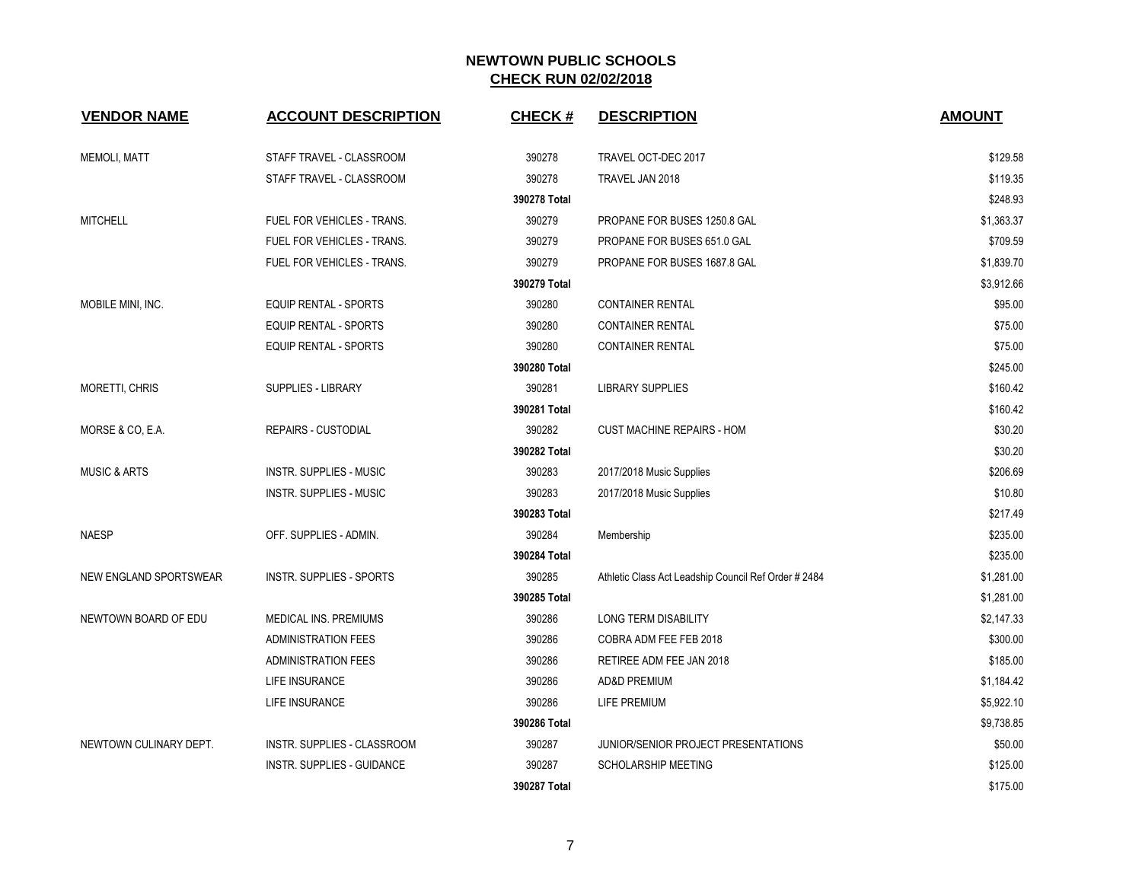| <b>VENDOR NAME</b>      | <b>ACCOUNT DESCRIPTION</b>        | <b>CHECK#</b> | <b>DESCRIPTION</b>                                   | <b>AMOUNT</b> |
|-------------------------|-----------------------------------|---------------|------------------------------------------------------|---------------|
| <b>MEMOLI, MATT</b>     | STAFF TRAVEL - CLASSROOM          | 390278        | TRAVEL OCT-DEC 2017                                  | \$129.58      |
|                         | STAFF TRAVEL - CLASSROOM          | 390278        | TRAVEL JAN 2018                                      | \$119.35      |
|                         |                                   | 390278 Total  |                                                      | \$248.93      |
| <b>MITCHELL</b>         | <b>FUEL FOR VEHICLES - TRANS.</b> | 390279        | PROPANE FOR BUSES 1250.8 GAL                         | \$1,363.37    |
|                         | FUEL FOR VEHICLES - TRANS.        | 390279        | PROPANE FOR BUSES 651.0 GAL                          | \$709.59      |
|                         | FUEL FOR VEHICLES - TRANS.        | 390279        | PROPANE FOR BUSES 1687.8 GAL                         | \$1,839.70    |
|                         |                                   | 390279 Total  |                                                      | \$3,912.66    |
| MOBILE MINI, INC.       | <b>EQUIP RENTAL - SPORTS</b>      | 390280        | <b>CONTAINER RENTAL</b>                              | \$95.00       |
|                         | EQUIP RENTAL - SPORTS             | 390280        | <b>CONTAINER RENTAL</b>                              | \$75.00       |
|                         | EQUIP RENTAL - SPORTS             | 390280        | <b>CONTAINER RENTAL</b>                              | \$75.00       |
|                         |                                   | 390280 Total  |                                                      | \$245.00      |
| MORETTI, CHRIS          | SUPPLIES - LIBRARY                | 390281        | <b>LIBRARY SUPPLIES</b>                              | \$160.42      |
|                         |                                   | 390281 Total  |                                                      | \$160.42      |
| MORSE & CO, E.A.        | <b>REPAIRS - CUSTODIAL</b>        | 390282        | <b>CUST MACHINE REPAIRS - HOM</b>                    | \$30.20       |
|                         |                                   | 390282 Total  |                                                      | \$30.20       |
| <b>MUSIC &amp; ARTS</b> | <b>INSTR. SUPPLIES - MUSIC</b>    | 390283        | 2017/2018 Music Supplies                             | \$206.69      |
|                         | <b>INSTR. SUPPLIES - MUSIC</b>    | 390283        | 2017/2018 Music Supplies                             | \$10.80       |
|                         |                                   | 390283 Total  |                                                      | \$217.49      |
| <b>NAESP</b>            | OFF. SUPPLIES - ADMIN.            | 390284        | Membership                                           | \$235.00      |
|                         |                                   | 390284 Total  |                                                      | \$235.00      |
| NEW ENGLAND SPORTSWEAR  | <b>INSTR. SUPPLIES - SPORTS</b>   | 390285        | Athletic Class Act Leadship Council Ref Order # 2484 | \$1,281.00    |
|                         |                                   | 390285 Total  |                                                      | \$1,281.00    |
| NEWTOWN BOARD OF EDU    | MEDICAL INS. PREMIUMS             | 390286        | LONG TERM DISABILITY                                 | \$2,147.33    |
|                         | <b>ADMINISTRATION FEES</b>        | 390286        | COBRA ADM FEE FEB 2018                               | \$300.00      |
|                         | <b>ADMINISTRATION FEES</b>        | 390286        | RETIREE ADM FEE JAN 2018                             | \$185.00      |
|                         | LIFE INSURANCE                    | 390286        | <b>AD&amp;D PREMIUM</b>                              | \$1,184.42    |
|                         | LIFE INSURANCE                    | 390286        | LIFE PREMIUM                                         | \$5,922.10    |
|                         |                                   | 390286 Total  |                                                      | \$9,738.85    |
| NEWTOWN CULINARY DEPT.  | INSTR. SUPPLIES - CLASSROOM       | 390287        | JUNIOR/SENIOR PROJECT PRESENTATIONS                  | \$50.00       |
|                         | INSTR. SUPPLIES - GUIDANCE        | 390287        | SCHOLARSHIP MEETING                                  | \$125.00      |
|                         |                                   | 390287 Total  |                                                      | \$175.00      |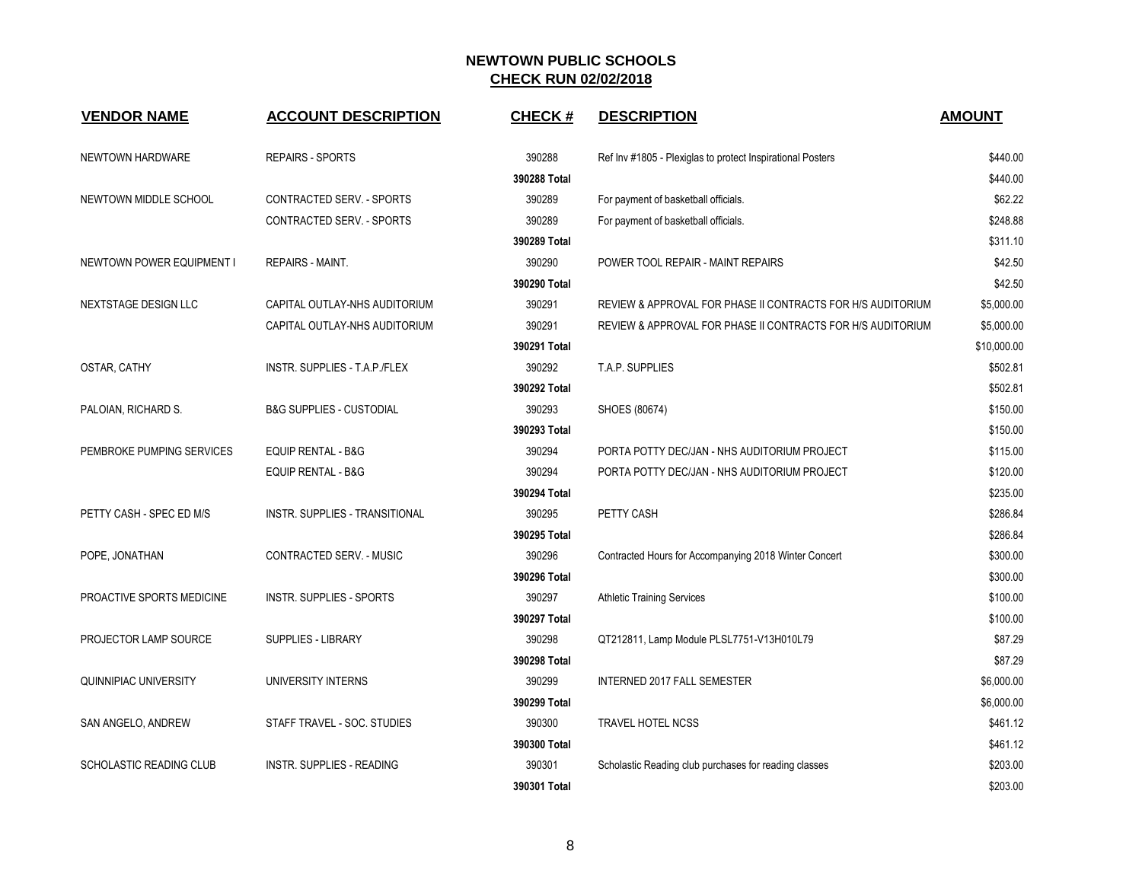| <b>VENDOR NAME</b>               | <b>ACCOUNT DESCRIPTION</b>          | <b>CHECK#</b> | <b>DESCRIPTION</b>                                          | <b>AMOUNT</b> |
|----------------------------------|-------------------------------------|---------------|-------------------------------------------------------------|---------------|
| NEWTOWN HARDWARE                 | <b>REPAIRS - SPORTS</b>             | 390288        | Ref Inv #1805 - Plexiglas to protect Inspirational Posters  | \$440.00      |
|                                  |                                     | 390288 Total  |                                                             | \$440.00      |
| NEWTOWN MIDDLE SCHOOL            | CONTRACTED SERV. - SPORTS           | 390289        | For payment of basketball officials.                        | \$62.22       |
|                                  | CONTRACTED SERV. - SPORTS           | 390289        | For payment of basketball officials.                        | \$248.88      |
|                                  |                                     | 390289 Total  |                                                             | \$311.10      |
| <b>NEWTOWN POWER EQUIPMENT I</b> | <b>REPAIRS - MAINT.</b>             | 390290        | POWER TOOL REPAIR - MAINT REPAIRS                           | \$42.50       |
|                                  |                                     | 390290 Total  |                                                             | \$42.50       |
| NEXTSTAGE DESIGN LLC             | CAPITAL OUTLAY-NHS AUDITORIUM       | 390291        | REVIEW & APPROVAL FOR PHASE II CONTRACTS FOR HIS AUDITORIUM | \$5,000.00    |
|                                  | CAPITAL OUTLAY-NHS AUDITORIUM       | 390291        | REVIEW & APPROVAL FOR PHASE II CONTRACTS FOR HIS AUDITORIUM | \$5,000.00    |
|                                  |                                     | 390291 Total  |                                                             | \$10,000.00   |
| OSTAR, CATHY                     | INSTR. SUPPLIES - T.A.P./FLEX       | 390292        | T.A.P. SUPPLIES                                             | \$502.81      |
|                                  |                                     | 390292 Total  |                                                             | \$502.81      |
| PALOIAN, RICHARD S.              | <b>B&amp;G SUPPLIES - CUSTODIAL</b> | 390293        | SHOES (80674)                                               | \$150.00      |
|                                  |                                     | 390293 Total  |                                                             | \$150.00      |
| PEMBROKE PUMPING SERVICES        | <b>EQUIP RENTAL - B&amp;G</b>       | 390294        | PORTA POTTY DEC/JAN - NHS AUDITORIUM PROJECT                | \$115.00      |
|                                  | EQUIP RENTAL - B&G                  | 390294        | PORTA POTTY DEC/JAN - NHS AUDITORIUM PROJECT                | \$120.00      |
|                                  |                                     | 390294 Total  |                                                             | \$235.00      |
| PETTY CASH - SPEC ED M/S         | INSTR. SUPPLIES - TRANSITIONAL      | 390295        | PETTY CASH                                                  | \$286.84      |
|                                  |                                     | 390295 Total  |                                                             | \$286.84      |
| POPE, JONATHAN                   | CONTRACTED SERV. - MUSIC            | 390296        | Contracted Hours for Accompanying 2018 Winter Concert       | \$300.00      |
|                                  |                                     | 390296 Total  |                                                             | \$300.00      |
| PROACTIVE SPORTS MEDICINE        | <b>INSTR. SUPPLIES - SPORTS</b>     | 390297        | <b>Athletic Training Services</b>                           | \$100.00      |
|                                  |                                     | 390297 Total  |                                                             | \$100.00      |
| PROJECTOR LAMP SOURCE            | SUPPLIES - LIBRARY                  | 390298        | QT212811, Lamp Module PLSL7751-V13H010L79                   | \$87.29       |
|                                  |                                     | 390298 Total  |                                                             | \$87.29       |
| <b>QUINNIPIAC UNIVERSITY</b>     | UNIVERSITY INTERNS                  | 390299        | INTERNED 2017 FALL SEMESTER                                 | \$6,000.00    |
|                                  |                                     | 390299 Total  |                                                             | \$6,000.00    |
| SAN ANGELO, ANDREW               | STAFF TRAVEL - SOC. STUDIES         | 390300        | TRAVEL HOTEL NCSS                                           | \$461.12      |
|                                  |                                     | 390300 Total  |                                                             | \$461.12      |
| SCHOLASTIC READING CLUB          | <b>INSTR. SUPPLIES - READING</b>    | 390301        | Scholastic Reading club purchases for reading classes       | \$203.00      |
|                                  |                                     | 390301 Total  |                                                             | \$203.00      |